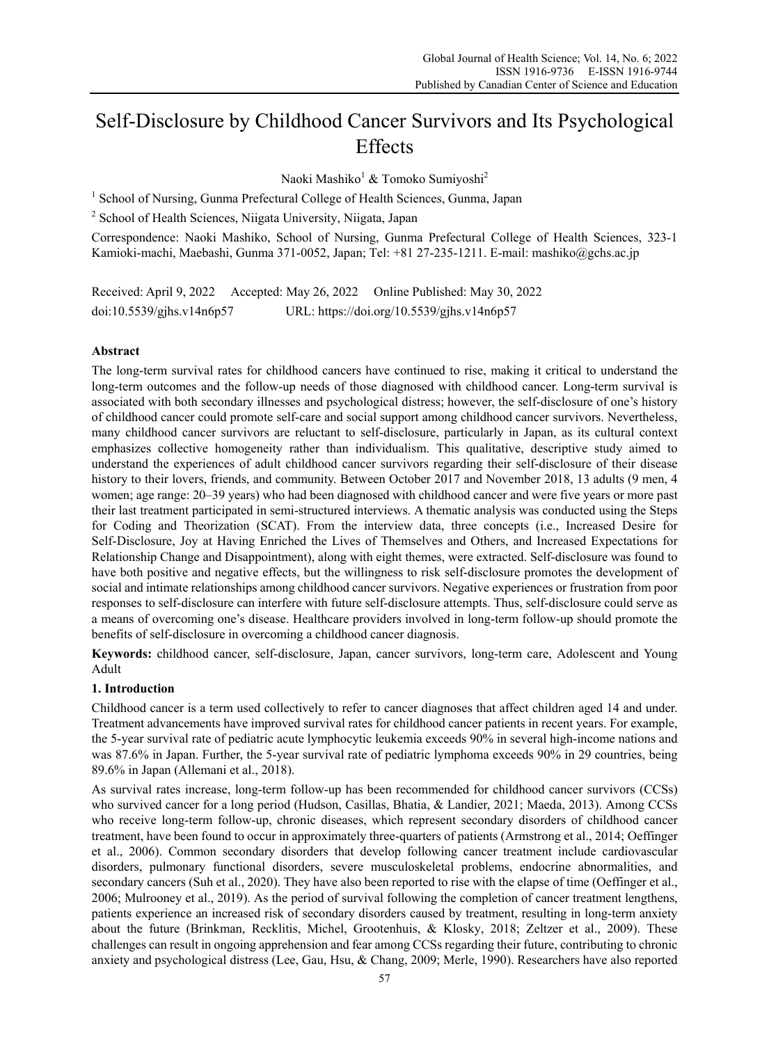# Self-Disclosure by Childhood Cancer Survivors and Its Psychological Effects

Naoki Mashiko<sup>1</sup> & Tomoko Sumiyoshi<sup>2</sup>

<sup>1</sup> School of Nursing, Gunma Prefectural College of Health Sciences, Gunma, Japan

<sup>2</sup> School of Health Sciences, Niigata University, Niigata, Japan

Correspondence: Naoki Mashiko, School of Nursing, Gunma Prefectural College of Health Sciences, 323-1 Kamioki-machi, Maebashi, Gunma 371-0052, Japan; Tel: +81 27-235-1211. E-mail: mashiko@gchs.ac.jp

Received: April 9, 2022 Accepted: May 26, 2022 Online Published: May 30, 2022 doi:10.5539/gjhs.v14n6p57 URL: https://doi.org/10.5539/gjhs.v14n6p57

# **Abstract**

The long-term survival rates for childhood cancers have continued to rise, making it critical to understand the long-term outcomes and the follow-up needs of those diagnosed with childhood cancer. Long-term survival is associated with both secondary illnesses and psychological distress; however, the self-disclosure of one's history of childhood cancer could promote self-care and social support among childhood cancer survivors. Nevertheless, many childhood cancer survivors are reluctant to self-disclosure, particularly in Japan, as its cultural context emphasizes collective homogeneity rather than individualism. This qualitative, descriptive study aimed to understand the experiences of adult childhood cancer survivors regarding their self-disclosure of their disease history to their lovers, friends, and community. Between October 2017 and November 2018, 13 adults (9 men, 4 women; age range: 20–39 years) who had been diagnosed with childhood cancer and were five years or more past their last treatment participated in semi-structured interviews. A thematic analysis was conducted using the Steps for Coding and Theorization (SCAT). From the interview data, three concepts (i.e., Increased Desire for Self-Disclosure, Joy at Having Enriched the Lives of Themselves and Others, and Increased Expectations for Relationship Change and Disappointment), along with eight themes, were extracted. Self-disclosure was found to have both positive and negative effects, but the willingness to risk self-disclosure promotes the development of social and intimate relationships among childhood cancer survivors. Negative experiences or frustration from poor responses to self-disclosure can interfere with future self-disclosure attempts. Thus, self-disclosure could serve as a means of overcoming one's disease. Healthcare providers involved in long-term follow-up should promote the benefits of self-disclosure in overcoming a childhood cancer diagnosis.

**Keywords:** childhood cancer, self-disclosure, Japan, cancer survivors, long-term care, Adolescent and Young Adult

# **1. Introduction**

Childhood cancer is a term used collectively to refer to cancer diagnoses that affect children aged 14 and under. Treatment advancements have improved survival rates for childhood cancer patients in recent years. For example, the 5-year survival rate of pediatric acute lymphocytic leukemia exceeds 90% in several high-income nations and was 87.6% in Japan. Further, the 5-year survival rate of pediatric lymphoma exceeds 90% in 29 countries, being 89.6% in Japan (Allemani et al., 2018).

As survival rates increase, long-term follow-up has been recommended for childhood cancer survivors (CCSs) who survived cancer for a long period (Hudson, Casillas, Bhatia, & Landier, 2021; Maeda, 2013). Among CCSs who receive long-term follow-up, chronic diseases, which represent secondary disorders of childhood cancer treatment, have been found to occur in approximately three-quarters of patients (Armstrong et al., 2014; Oeffinger et al., 2006). Common secondary disorders that develop following cancer treatment include cardiovascular disorders, pulmonary functional disorders, severe musculoskeletal problems, endocrine abnormalities, and secondary cancers (Suh et al., 2020). They have also been reported to rise with the elapse of time (Oeffinger et al., 2006; Mulrooney et al., 2019). As the period of survival following the completion of cancer treatment lengthens, patients experience an increased risk of secondary disorders caused by treatment, resulting in long-term anxiety about the future (Brinkman, Recklitis, Michel, Grootenhuis, & Klosky, 2018; Zeltzer et al., 2009). These challenges can result in ongoing apprehension and fear among CCSs regarding their future, contributing to chronic anxiety and psychological distress (Lee, Gau, Hsu, & Chang, 2009; Merle, 1990). Researchers have also reported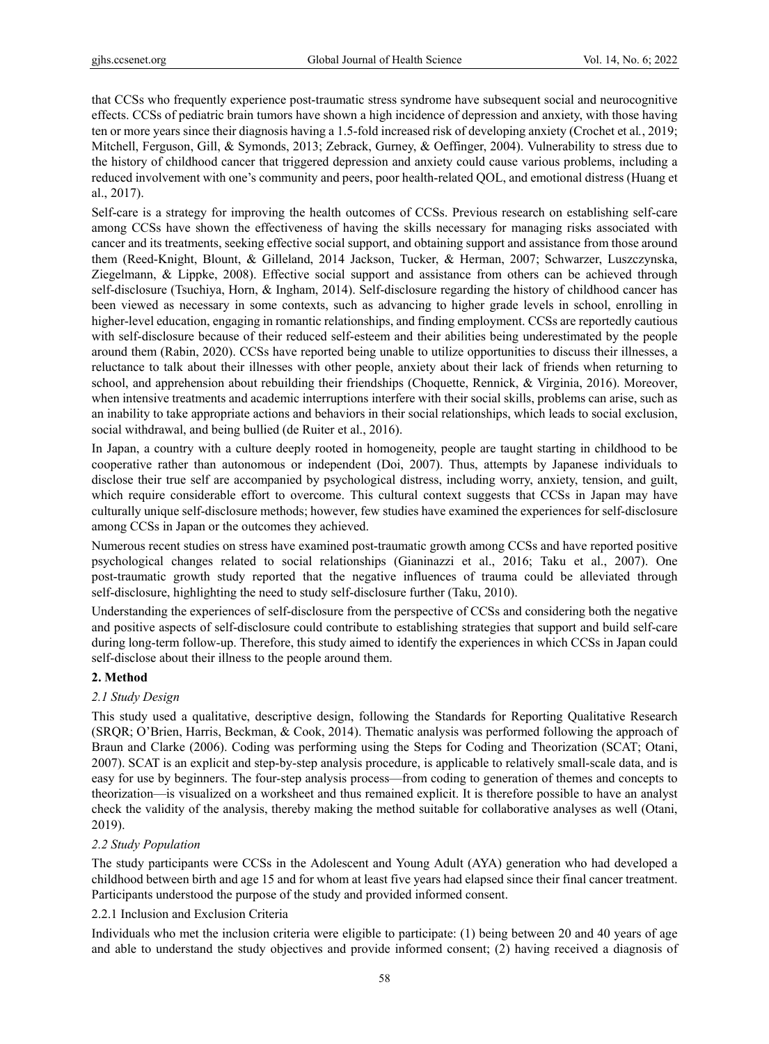that CCSs who frequently experience post-traumatic stress syndrome have subsequent social and neurocognitive effects. CCSs of pediatric brain tumors have shown a high incidence of depression and anxiety, with those having ten or more years since their diagnosis having a 1.5-fold increased risk of developing anxiety (Crochet et al*.*, 2019; Mitchell, Ferguson, Gill, & Symonds, 2013; Zebrack, Gurney, & Oeffinger, 2004). Vulnerability to stress due to the history of childhood cancer that triggered depression and anxiety could cause various problems, including a reduced involvement with one's community and peers, poor health-related QOL, and emotional distress (Huang et al., 2017).

Self-care is a strategy for improving the health outcomes of CCSs. Previous research on establishing self-care among CCSs have shown the effectiveness of having the skills necessary for managing risks associated with cancer and its treatments, seeking effective social support, and obtaining support and assistance from those around them (Reed-Knight, Blount, & Gilleland, 2014 Jackson, Tucker, & Herman, 2007; Schwarzer, Luszczynska, Ziegelmann, & Lippke, 2008). Effective social support and assistance from others can be achieved through self-disclosure (Tsuchiya, Horn, & Ingham, 2014). Self-disclosure regarding the history of childhood cancer has been viewed as necessary in some contexts, such as advancing to higher grade levels in school, enrolling in higher-level education, engaging in romantic relationships, and finding employment. CCSs are reportedly cautious with self-disclosure because of their reduced self-esteem and their abilities being underestimated by the people around them (Rabin, 2020). CCSs have reported being unable to utilize opportunities to discuss their illnesses, a reluctance to talk about their illnesses with other people, anxiety about their lack of friends when returning to school, and apprehension about rebuilding their friendships (Choquette, Rennick, & Virginia, 2016). Moreover, when intensive treatments and academic interruptions interfere with their social skills, problems can arise, such as an inability to take appropriate actions and behaviors in their social relationships, which leads to social exclusion, social withdrawal, and being bullied (de Ruiter et al., 2016).

In Japan, a country with a culture deeply rooted in homogeneity, people are taught starting in childhood to be cooperative rather than autonomous or independent (Doi, 2007). Thus, attempts by Japanese individuals to disclose their true self are accompanied by psychological distress, including worry, anxiety, tension, and guilt, which require considerable effort to overcome. This cultural context suggests that CCSs in Japan may have culturally unique self-disclosure methods; however, few studies have examined the experiences for self-disclosure among CCSs in Japan or the outcomes they achieved.

Numerous recent studies on stress have examined post-traumatic growth among CCSs and have reported positive psychological changes related to social relationships (Gianinazzi et al., 2016; Taku et al., 2007). One post-traumatic growth study reported that the negative influences of trauma could be alleviated through self-disclosure, highlighting the need to study self-disclosure further (Taku, 2010).

Understanding the experiences of self-disclosure from the perspective of CCSs and considering both the negative and positive aspects of self-disclosure could contribute to establishing strategies that support and build self-care during long-term follow-up. Therefore, this study aimed to identify the experiences in which CCSs in Japan could self-disclose about their illness to the people around them.

# **2. Method**

# *2.1 Study Design*

This study used a qualitative, descriptive design, following the Standards for Reporting Qualitative Research (SRQR; O'Brien, Harris, Beckman, & Cook, 2014). Thematic analysis was performed following the approach of Braun and Clarke (2006). Coding was performing using the Steps for Coding and Theorization (SCAT; Otani, 2007). SCAT is an explicit and step-by-step analysis procedure, is applicable to relatively small-scale data, and is easy for use by beginners. The four-step analysis process—from coding to generation of themes and concepts to theorization—is visualized on a worksheet and thus remained explicit. It is therefore possible to have an analyst check the validity of the analysis, thereby making the method suitable for collaborative analyses as well (Otani, 2019).

# *2.2 Study Population*

The study participants were CCSs in the Adolescent and Young Adult (AYA) generation who had developed a childhood between birth and age 15 and for whom at least five years had elapsed since their final cancer treatment. Participants understood the purpose of the study and provided informed consent.

# 2.2.1 Inclusion and Exclusion Criteria

Individuals who met the inclusion criteria were eligible to participate: (1) being between 20 and 40 years of age and able to understand the study objectives and provide informed consent; (2) having received a diagnosis of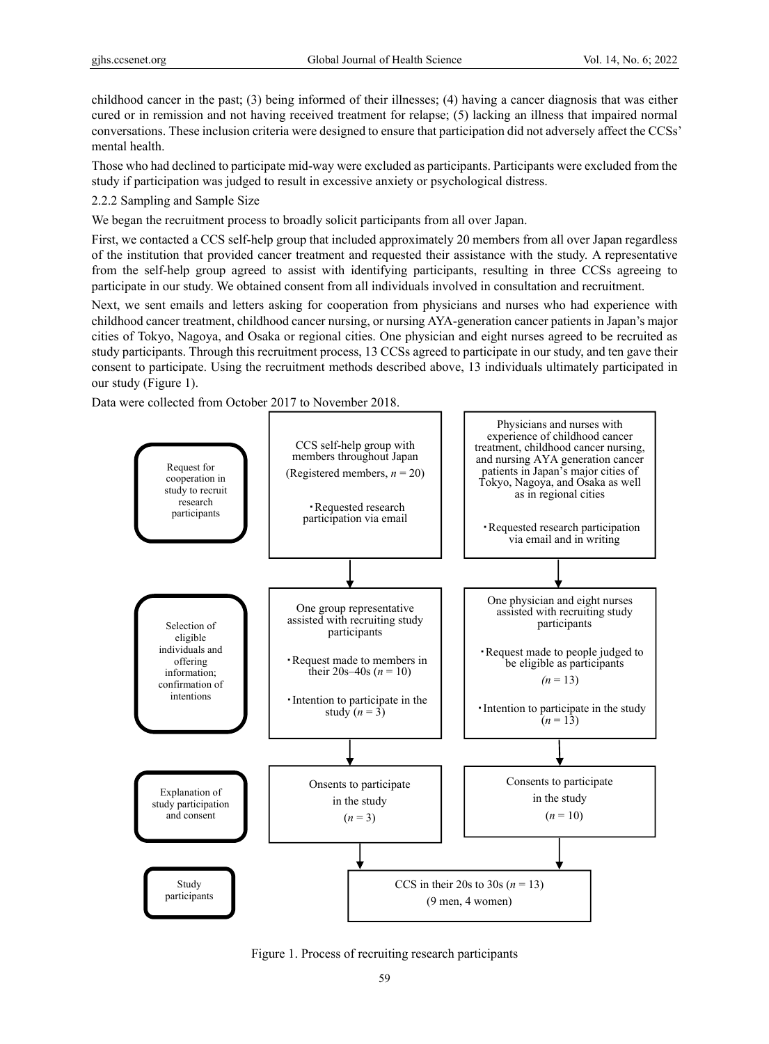childhood cancer in the past; (3) being informed of their illnesses; (4) having a cancer diagnosis that was either cured or in remission and not having received treatment for relapse; (5) lacking an illness that impaired normal conversations. These inclusion criteria were designed to ensure that participation did not adversely affect the CCSs' mental health.

Those who had declined to participate mid-way were excluded as participants. Participants were excluded from the study if participation was judged to result in excessive anxiety or psychological distress.

2.2.2 Sampling and Sample Size

We began the recruitment process to broadly solicit participants from all over Japan.

First, we contacted a CCS self-help group that included approximately 20 members from all over Japan regardless of the institution that provided cancer treatment and requested their assistance with the study. A representative from the self-help group agreed to assist with identifying participants, resulting in three CCSs agreeing to participate in our study. We obtained consent from all individuals involved in consultation and recruitment.

Next, we sent emails and letters asking for cooperation from physicians and nurses who had experience with childhood cancer treatment, childhood cancer nursing, or nursing AYA-generation cancer patients in Japan's major cities of Tokyo, Nagoya, and Osaka or regional cities. One physician and eight nurses agreed to be recruited as study participants. Through this recruitment process, 13 CCSs agreed to participate in our study, and ten gave their consent to participate. Using the recruitment methods described above, 13 individuals ultimately participated in our study (Figure 1).

Data were collected from October 2017 to November 2018.



Figure 1. Process of recruiting research participants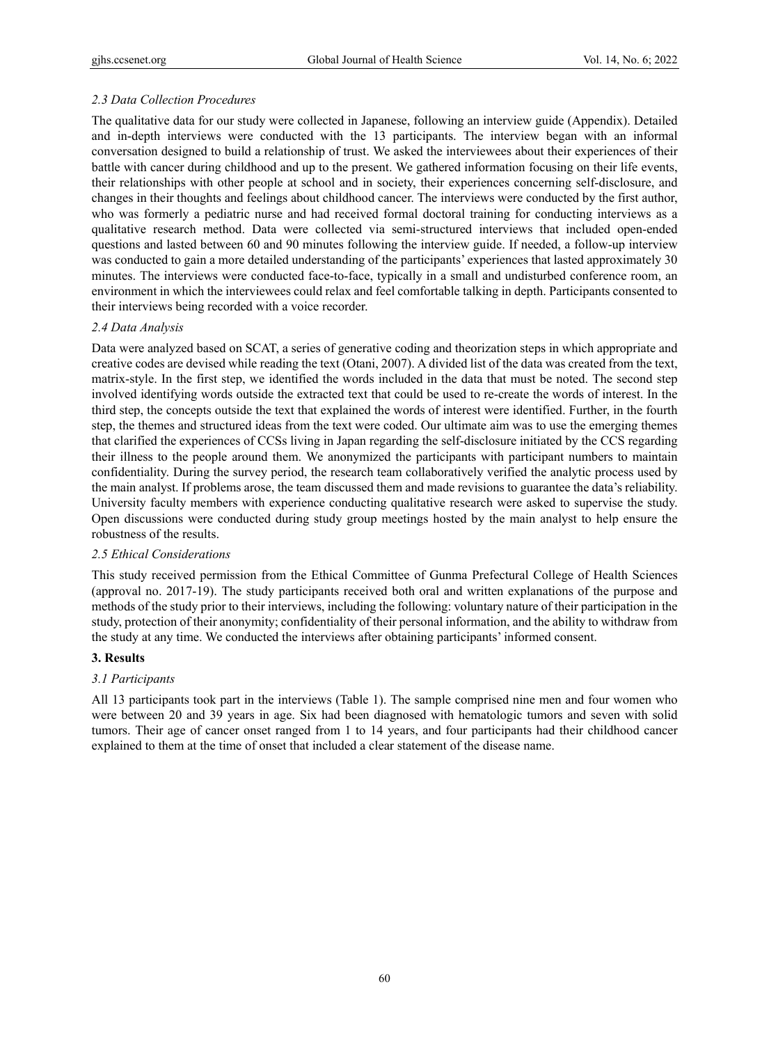# *2.3 Data Collection Procedures*

The qualitative data for our study were collected in Japanese, following an interview guide (Appendix). Detailed and in-depth interviews were conducted with the 13 participants. The interview began with an informal conversation designed to build a relationship of trust. We asked the interviewees about their experiences of their battle with cancer during childhood and up to the present. We gathered information focusing on their life events, their relationships with other people at school and in society, their experiences concerning self-disclosure, and changes in their thoughts and feelings about childhood cancer. The interviews were conducted by the first author, who was formerly a pediatric nurse and had received formal doctoral training for conducting interviews as a qualitative research method. Data were collected via semi-structured interviews that included open-ended questions and lasted between 60 and 90 minutes following the interview guide. If needed, a follow-up interview was conducted to gain a more detailed understanding of the participants' experiences that lasted approximately 30 minutes. The interviews were conducted face-to-face, typically in a small and undisturbed conference room, an environment in which the interviewees could relax and feel comfortable talking in depth. Participants consented to their interviews being recorded with a voice recorder.

# *2.4 Data Analysis*

Data were analyzed based on SCAT, a series of generative coding and theorization steps in which appropriate and creative codes are devised while reading the text (Otani, 2007). A divided list of the data was created from the text, matrix-style. In the first step, we identified the words included in the data that must be noted. The second step involved identifying words outside the extracted text that could be used to re-create the words of interest. In the third step, the concepts outside the text that explained the words of interest were identified. Further, in the fourth step, the themes and structured ideas from the text were coded. Our ultimate aim was to use the emerging themes that clarified the experiences of CCSs living in Japan regarding the self-disclosure initiated by the CCS regarding their illness to the people around them. We anonymized the participants with participant numbers to maintain confidentiality. During the survey period, the research team collaboratively verified the analytic process used by the main analyst. If problems arose, the team discussed them and made revisions to guarantee the data's reliability. University faculty members with experience conducting qualitative research were asked to supervise the study. Open discussions were conducted during study group meetings hosted by the main analyst to help ensure the robustness of the results.

# *2.5 Ethical Considerations*

This study received permission from the Ethical Committee of Gunma Prefectural College of Health Sciences (approval no. 2017-19). The study participants received both oral and written explanations of the purpose and methods of the study prior to their interviews, including the following: voluntary nature of their participation in the study, protection of their anonymity; confidentiality of their personal information, and the ability to withdraw from the study at any time. We conducted the interviews after obtaining participants' informed consent.

# **3. Results**

# *3.1 Participants*

All 13 participants took part in the interviews (Table 1). The sample comprised nine men and four women who were between 20 and 39 years in age. Six had been diagnosed with hematologic tumors and seven with solid tumors. Their age of cancer onset ranged from 1 to 14 years, and four participants had their childhood cancer explained to them at the time of onset that included a clear statement of the disease name.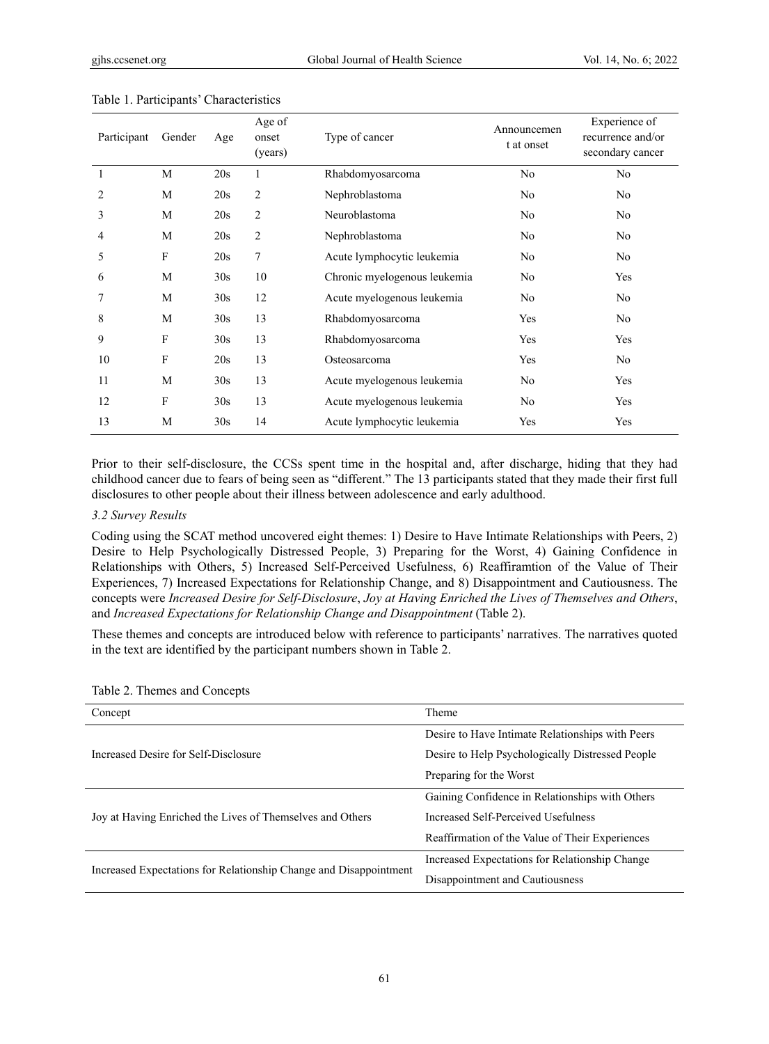| Participant | Gender      | Age | Age of<br>onset<br>(years) | Type of cancer               | Announcemen<br>t at onset | Experience of<br>recurrence and/or<br>secondary cancer |
|-------------|-------------|-----|----------------------------|------------------------------|---------------------------|--------------------------------------------------------|
| 1           | M           | 20s | 1                          | Rhabdomyosarcoma             | No                        | N <sub>o</sub>                                         |
| 2           | M           | 20s | 2                          | Nephroblastoma               | No                        | N <sub>o</sub>                                         |
| 3           | M           | 20s | 2                          | Neuroblastoma                | No                        | No                                                     |
| 4           | M           | 20s | $\overline{c}$             | Nephroblastoma               | N <sub>o</sub>            | No                                                     |
| 5           | F           | 20s | 7                          | Acute lymphocytic leukemia   | N <sub>o</sub>            | No                                                     |
| 6           | M           | 30s | 10                         | Chronic myelogenous leukemia | No                        | Yes                                                    |
|             | M           | 30s | 12                         | Acute myelogenous leukemia   | No                        | N <sub>o</sub>                                         |
| 8           | M           | 30s | 13                         | Rhabdomyosarcoma             | Yes                       | No                                                     |
| 9           | $\mathbf F$ | 30s | 13                         | Rhabdomyosarcoma             | Yes                       | Yes                                                    |
| 10          | F           | 20s | 13                         | Osteosarcoma                 | Yes                       | No                                                     |
| 11          | M           | 30s | 13                         | Acute myelogenous leukemia   | No                        | Yes                                                    |
| 12          | $\mathbf F$ | 30s | 13                         | Acute myelogenous leukemia   | No                        | Yes                                                    |
| 13          | M           | 30s | 14                         | Acute lymphocytic leukemia   | Yes                       | Yes                                                    |

#### Table 1. Participants' Characteristics

Prior to their self-disclosure, the CCSs spent time in the hospital and, after discharge, hiding that they had childhood cancer due to fears of being seen as "different." The 13 participants stated that they made their first full disclosures to other people about their illness between adolescence and early adulthood.

### *3.2 Survey Results*

Coding using the SCAT method uncovered eight themes: 1) Desire to Have Intimate Relationships with Peers, 2) Desire to Help Psychologically Distressed People, 3) Preparing for the Worst, 4) Gaining Confidence in Relationships with Others, 5) Increased Self-Perceived Usefulness, 6) Reaffiramtion of the Value of Their Experiences, 7) Increased Expectations for Relationship Change, and 8) Disappointment and Cautiousness. The concepts were *Increased Desire for Self-Disclosure*, *Joy at Having Enriched the Lives of Themselves and Others*, and *Increased Expectations for Relationship Change and Disappointment* (Table 2).

These themes and concepts are introduced below with reference to participants' narratives. The narratives quoted in the text are identified by the participant numbers shown in Table 2.

| Concept                                                           | Theme                                            |  |
|-------------------------------------------------------------------|--------------------------------------------------|--|
|                                                                   | Desire to Have Intimate Relationships with Peers |  |
| Increased Desire for Self-Disclosure                              | Desire to Help Psychologically Distressed People |  |
|                                                                   | Preparing for the Worst                          |  |
|                                                                   | Gaining Confidence in Relationships with Others  |  |
| Joy at Having Enriched the Lives of Themselves and Others         | Increased Self-Perceived Usefulness              |  |
|                                                                   | Reaffirmation of the Value of Their Experiences  |  |
| Increased Expectations for Relationship Change and Disappointment | Increased Expectations for Relationship Change   |  |
|                                                                   | Disappointment and Cautiousness                  |  |

#### Table 2. Themes and Concepts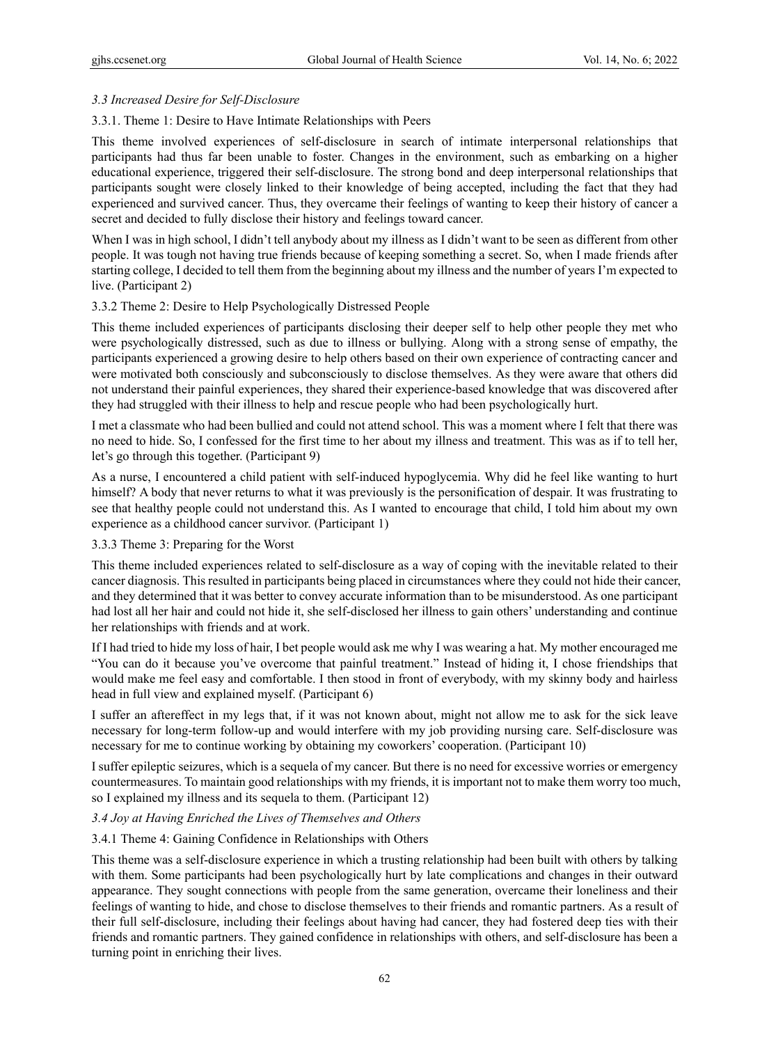# *3.3 Increased Desire for Self-Disclosure*

## 3.3.1. Theme 1: Desire to Have Intimate Relationships with Peers

This theme involved experiences of self-disclosure in search of intimate interpersonal relationships that participants had thus far been unable to foster. Changes in the environment, such as embarking on a higher educational experience, triggered their self-disclosure. The strong bond and deep interpersonal relationships that participants sought were closely linked to their knowledge of being accepted, including the fact that they had experienced and survived cancer. Thus, they overcame their feelings of wanting to keep their history of cancer a secret and decided to fully disclose their history and feelings toward cancer.

When I was in high school, I didn't tell anybody about my illness as I didn't want to be seen as different from other people. It was tough not having true friends because of keeping something a secret. So, when I made friends after starting college, I decided to tell them from the beginning about my illness and the number of years I'm expected to live. (Participant 2)

## 3.3.2 Theme 2: Desire to Help Psychologically Distressed People

This theme included experiences of participants disclosing their deeper self to help other people they met who were psychologically distressed, such as due to illness or bullying. Along with a strong sense of empathy, the participants experienced a growing desire to help others based on their own experience of contracting cancer and were motivated both consciously and subconsciously to disclose themselves. As they were aware that others did not understand their painful experiences, they shared their experience-based knowledge that was discovered after they had struggled with their illness to help and rescue people who had been psychologically hurt.

I met a classmate who had been bullied and could not attend school. This was a moment where I felt that there was no need to hide. So, I confessed for the first time to her about my illness and treatment. This was as if to tell her, let's go through this together. (Participant 9)

As a nurse, I encountered a child patient with self-induced hypoglycemia. Why did he feel like wanting to hurt himself? A body that never returns to what it was previously is the personification of despair. It was frustrating to see that healthy people could not understand this. As I wanted to encourage that child, I told him about my own experience as a childhood cancer survivor. (Participant 1)

3.3.3 Theme 3: Preparing for the Worst

This theme included experiences related to self-disclosure as a way of coping with the inevitable related to their cancer diagnosis. This resulted in participants being placed in circumstances where they could not hide their cancer, and they determined that it was better to convey accurate information than to be misunderstood. As one participant had lost all her hair and could not hide it, she self-disclosed her illness to gain others' understanding and continue her relationships with friends and at work.

If I had tried to hide my loss of hair, I bet people would ask me why I was wearing a hat. My mother encouraged me "You can do it because you've overcome that painful treatment." Instead of hiding it, I chose friendships that would make me feel easy and comfortable. I then stood in front of everybody, with my skinny body and hairless head in full view and explained myself. (Participant 6)

I suffer an aftereffect in my legs that, if it was not known about, might not allow me to ask for the sick leave necessary for long-term follow-up and would interfere with my job providing nursing care. Self-disclosure was necessary for me to continue working by obtaining my coworkers' cooperation. (Participant 10)

I suffer epileptic seizures, which is a sequela of my cancer. But there is no need for excessive worries or emergency countermeasures. To maintain good relationships with my friends, it is important not to make them worry too much, so I explained my illness and its sequela to them. (Participant 12)

#### *3.4 Joy at Having Enriched the Lives of Themselves and Others*

#### 3.4.1 Theme 4: Gaining Confidence in Relationships with Others

This theme was a self-disclosure experience in which a trusting relationship had been built with others by talking with them. Some participants had been psychologically hurt by late complications and changes in their outward appearance. They sought connections with people from the same generation, overcame their loneliness and their feelings of wanting to hide, and chose to disclose themselves to their friends and romantic partners. As a result of their full self-disclosure, including their feelings about having had cancer, they had fostered deep ties with their friends and romantic partners. They gained confidence in relationships with others, and self-disclosure has been a turning point in enriching their lives.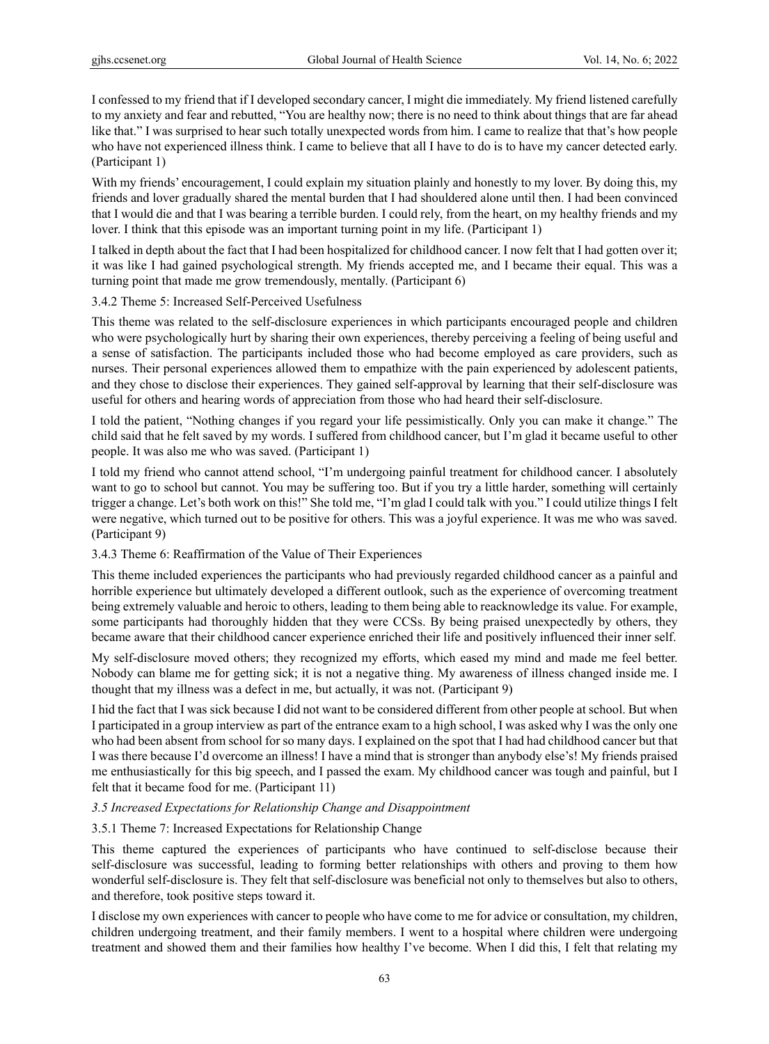I confessed to my friend that if I developed secondary cancer, I might die immediately. My friend listened carefully to my anxiety and fear and rebutted, "You are healthy now; there is no need to think about things that are far ahead like that." I was surprised to hear such totally unexpected words from him. I came to realize that that's how people who have not experienced illness think. I came to believe that all I have to do is to have my cancer detected early. (Participant 1)

With my friends' encouragement, I could explain my situation plainly and honestly to my lover. By doing this, my friends and lover gradually shared the mental burden that I had shouldered alone until then. I had been convinced that I would die and that I was bearing a terrible burden. I could rely, from the heart, on my healthy friends and my lover. I think that this episode was an important turning point in my life. (Participant 1)

I talked in depth about the fact that I had been hospitalized for childhood cancer. I now felt that I had gotten over it; it was like I had gained psychological strength. My friends accepted me, and I became their equal. This was a turning point that made me grow tremendously, mentally. (Participant 6)

3.4.2 Theme 5: Increased Self-Perceived Usefulness

This theme was related to the self-disclosure experiences in which participants encouraged people and children who were psychologically hurt by sharing their own experiences, thereby perceiving a feeling of being useful and a sense of satisfaction. The participants included those who had become employed as care providers, such as nurses. Their personal experiences allowed them to empathize with the pain experienced by adolescent patients, and they chose to disclose their experiences. They gained self-approval by learning that their self-disclosure was useful for others and hearing words of appreciation from those who had heard their self-disclosure.

I told the patient, "Nothing changes if you regard your life pessimistically. Only you can make it change." The child said that he felt saved by my words. I suffered from childhood cancer, but I'm glad it became useful to other people. It was also me who was saved. (Participant 1)

I told my friend who cannot attend school, "I'm undergoing painful treatment for childhood cancer. I absolutely want to go to school but cannot. You may be suffering too. But if you try a little harder, something will certainly trigger a change. Let's both work on this!" She told me, "I'm glad I could talk with you." I could utilize things I felt were negative, which turned out to be positive for others. This was a joyful experience. It was me who was saved. (Participant 9)

# 3.4.3 Theme 6: Reaffirmation of the Value of Their Experiences

This theme included experiences the participants who had previously regarded childhood cancer as a painful and horrible experience but ultimately developed a different outlook, such as the experience of overcoming treatment being extremely valuable and heroic to others, leading to them being able to reacknowledge its value. For example, some participants had thoroughly hidden that they were CCSs. By being praised unexpectedly by others, they became aware that their childhood cancer experience enriched their life and positively influenced their inner self.

My self-disclosure moved others; they recognized my efforts, which eased my mind and made me feel better. Nobody can blame me for getting sick; it is not a negative thing. My awareness of illness changed inside me. I thought that my illness was a defect in me, but actually, it was not. (Participant 9)

I hid the fact that I was sick because I did not want to be considered different from other people at school. But when I participated in a group interview as part of the entrance exam to a high school, I was asked why I was the only one who had been absent from school for so many days. I explained on the spot that I had had childhood cancer but that I was there because I'd overcome an illness! I have a mind that is stronger than anybody else's! My friends praised me enthusiastically for this big speech, and I passed the exam. My childhood cancer was tough and painful, but I felt that it became food for me. (Participant 11)

# *3.5 Increased Expectations for Relationship Change and Disappointment*

# 3.5.1 Theme 7: Increased Expectations for Relationship Change

This theme captured the experiences of participants who have continued to self-disclose because their self-disclosure was successful, leading to forming better relationships with others and proving to them how wonderful self-disclosure is. They felt that self-disclosure was beneficial not only to themselves but also to others, and therefore, took positive steps toward it.

I disclose my own experiences with cancer to people who have come to me for advice or consultation, my children, children undergoing treatment, and their family members. I went to a hospital where children were undergoing treatment and showed them and their families how healthy I've become. When I did this, I felt that relating my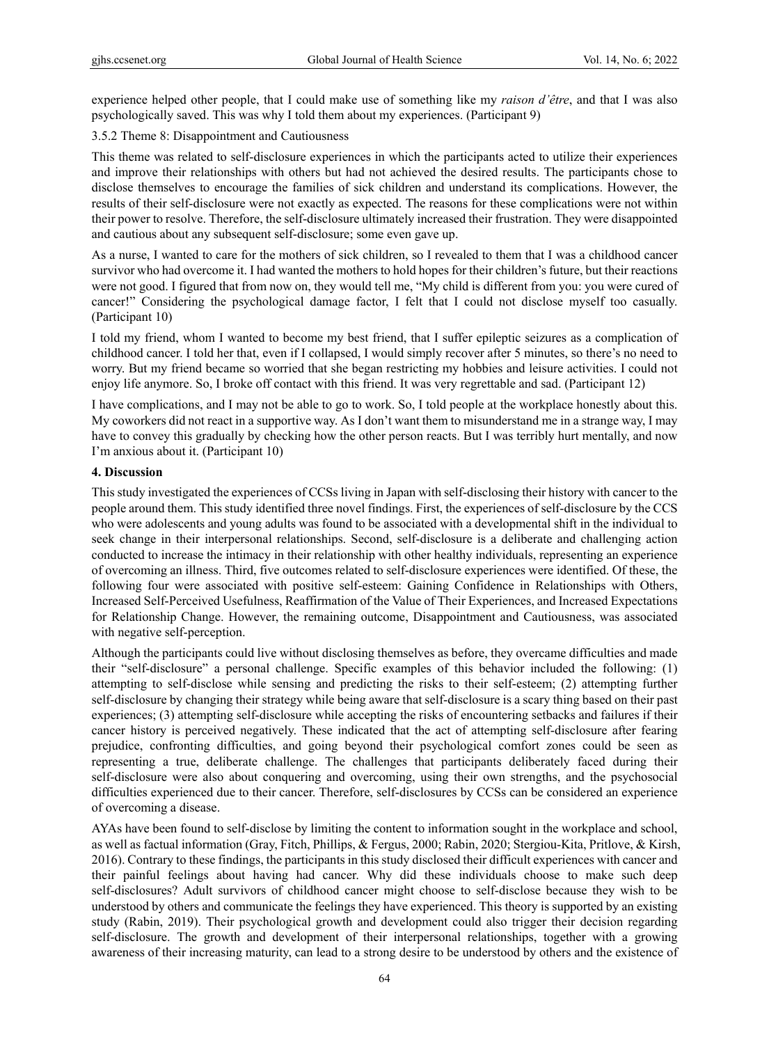experience helped other people, that I could make use of something like my *raison d'être*, and that I was also psychologically saved. This was why I told them about my experiences. (Participant 9)

## 3.5.2 Theme 8: Disappointment and Cautiousness

This theme was related to self-disclosure experiences in which the participants acted to utilize their experiences and improve their relationships with others but had not achieved the desired results. The participants chose to disclose themselves to encourage the families of sick children and understand its complications. However, the results of their self-disclosure were not exactly as expected. The reasons for these complications were not within their power to resolve. Therefore, the self-disclosure ultimately increased their frustration. They were disappointed and cautious about any subsequent self-disclosure; some even gave up.

As a nurse, I wanted to care for the mothers of sick children, so I revealed to them that I was a childhood cancer survivor who had overcome it. I had wanted the mothers to hold hopes for their children's future, but their reactions were not good. I figured that from now on, they would tell me, "My child is different from you: you were cured of cancer!" Considering the psychological damage factor, I felt that I could not disclose myself too casually. (Participant 10)

I told my friend, whom I wanted to become my best friend, that I suffer epileptic seizures as a complication of childhood cancer. I told her that, even if I collapsed, I would simply recover after 5 minutes, so there's no need to worry. But my friend became so worried that she began restricting my hobbies and leisure activities. I could not enjoy life anymore. So, I broke off contact with this friend. It was very regrettable and sad. (Participant 12)

I have complications, and I may not be able to go to work. So, I told people at the workplace honestly about this. My coworkers did not react in a supportive way. As I don't want them to misunderstand me in a strange way, I may have to convey this gradually by checking how the other person reacts. But I was terribly hurt mentally, and now I'm anxious about it. (Participant 10)

## **4. Discussion**

This study investigated the experiences of CCSs living in Japan with self-disclosing their history with cancer to the people around them. This study identified three novel findings. First, the experiences of self-disclosure by the CCS who were adolescents and young adults was found to be associated with a developmental shift in the individual to seek change in their interpersonal relationships. Second, self-disclosure is a deliberate and challenging action conducted to increase the intimacy in their relationship with other healthy individuals, representing an experience of overcoming an illness. Third, five outcomes related to self-disclosure experiences were identified. Of these, the following four were associated with positive self-esteem: Gaining Confidence in Relationships with Others, Increased Self-Perceived Usefulness, Reaffirmation of the Value of Their Experiences, and Increased Expectations for Relationship Change. However, the remaining outcome, Disappointment and Cautiousness, was associated with negative self-perception.

Although the participants could live without disclosing themselves as before, they overcame difficulties and made their "self-disclosure" a personal challenge. Specific examples of this behavior included the following: (1) attempting to self-disclose while sensing and predicting the risks to their self-esteem; (2) attempting further self-disclosure by changing their strategy while being aware that self-disclosure is a scary thing based on their past experiences; (3) attempting self-disclosure while accepting the risks of encountering setbacks and failures if their cancer history is perceived negatively. These indicated that the act of attempting self-disclosure after fearing prejudice, confronting difficulties, and going beyond their psychological comfort zones could be seen as representing a true, deliberate challenge. The challenges that participants deliberately faced during their self-disclosure were also about conquering and overcoming, using their own strengths, and the psychosocial difficulties experienced due to their cancer. Therefore, self-disclosures by CCSs can be considered an experience of overcoming a disease.

AYAs have been found to self-disclose by limiting the content to information sought in the workplace and school, as well as factual information (Gray, Fitch, Phillips, & Fergus, 2000; Rabin, 2020; Stergiou-Kita, Pritlove, & Kirsh, 2016). Contrary to these findings, the participants in this study disclosed their difficult experiences with cancer and their painful feelings about having had cancer. Why did these individuals choose to make such deep self-disclosures? Adult survivors of childhood cancer might choose to self-disclose because they wish to be understood by others and communicate the feelings they have experienced. This theory is supported by an existing study (Rabin, 2019). Their psychological growth and development could also trigger their decision regarding self-disclosure. The growth and development of their interpersonal relationships, together with a growing awareness of their increasing maturity, can lead to a strong desire to be understood by others and the existence of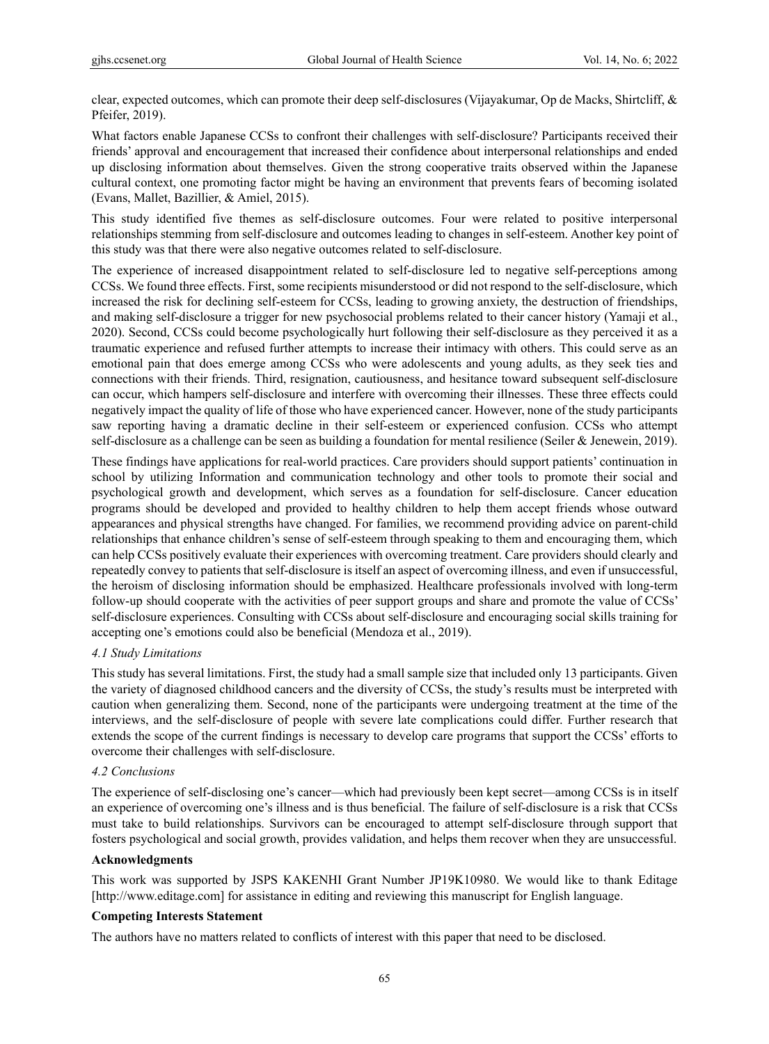clear, expected outcomes, which can promote their deep self-disclosures (Vijayakumar, Op de Macks, Shirtcliff, & Pfeifer, 2019).

What factors enable Japanese CCSs to confront their challenges with self-disclosure? Participants received their friends' approval and encouragement that increased their confidence about interpersonal relationships and ended up disclosing information about themselves. Given the strong cooperative traits observed within the Japanese cultural context, one promoting factor might be having an environment that prevents fears of becoming isolated (Evans, Mallet, Bazillier, & Amiel, 2015).

This study identified five themes as self-disclosure outcomes. Four were related to positive interpersonal relationships stemming from self-disclosure and outcomes leading to changes in self-esteem. Another key point of this study was that there were also negative outcomes related to self-disclosure.

The experience of increased disappointment related to self-disclosure led to negative self-perceptions among CCSs. We found three effects. First, some recipients misunderstood or did not respond to the self-disclosure, which increased the risk for declining self-esteem for CCSs, leading to growing anxiety, the destruction of friendships, and making self-disclosure a trigger for new psychosocial problems related to their cancer history (Yamaji et al., 2020). Second, CCSs could become psychologically hurt following their self-disclosure as they perceived it as a traumatic experience and refused further attempts to increase their intimacy with others. This could serve as an emotional pain that does emerge among CCSs who were adolescents and young adults, as they seek ties and connections with their friends. Third, resignation, cautiousness, and hesitance toward subsequent self-disclosure can occur, which hampers self-disclosure and interfere with overcoming their illnesses. These three effects could negatively impact the quality of life of those who have experienced cancer. However, none of the study participants saw reporting having a dramatic decline in their self-esteem or experienced confusion. CCSs who attempt self-disclosure as a challenge can be seen as building a foundation for mental resilience (Seiler & Jenewein, 2019).

These findings have applications for real-world practices. Care providers should support patients' continuation in school by utilizing Information and communication technology and other tools to promote their social and psychological growth and development, which serves as a foundation for self-disclosure. Cancer education programs should be developed and provided to healthy children to help them accept friends whose outward appearances and physical strengths have changed. For families, we recommend providing advice on parent-child relationships that enhance children's sense of self-esteem through speaking to them and encouraging them, which can help CCSs positively evaluate their experiences with overcoming treatment. Care providers should clearly and repeatedly convey to patients that self-disclosure is itself an aspect of overcoming illness, and even if unsuccessful, the heroism of disclosing information should be emphasized. Healthcare professionals involved with long-term follow-up should cooperate with the activities of peer support groups and share and promote the value of CCSs' self-disclosure experiences. Consulting with CCSs about self-disclosure and encouraging social skills training for accepting one's emotions could also be beneficial (Mendoza et al., 2019).

# *4.1 Study Limitations*

This study has several limitations. First, the study had a small sample size that included only 13 participants. Given the variety of diagnosed childhood cancers and the diversity of CCSs, the study's results must be interpreted with caution when generalizing them. Second, none of the participants were undergoing treatment at the time of the interviews, and the self-disclosure of people with severe late complications could differ. Further research that extends the scope of the current findings is necessary to develop care programs that support the CCSs' efforts to overcome their challenges with self-disclosure.

# *4.2 Conclusions*

The experience of self-disclosing one's cancer—which had previously been kept secret—among CCSs is in itself an experience of overcoming one's illness and is thus beneficial. The failure of self-disclosure is a risk that CCSs must take to build relationships. Survivors can be encouraged to attempt self-disclosure through support that fosters psychological and social growth, provides validation, and helps them recover when they are unsuccessful.

# **Acknowledgments**

This work was supported by JSPS KAKENHI Grant Number JP19K10980. We would like to thank Editage [http://www.editage.com] for assistance in editing and reviewing this manuscript for English language.

# **Competing Interests Statement**

The authors have no matters related to conflicts of interest with this paper that need to be disclosed.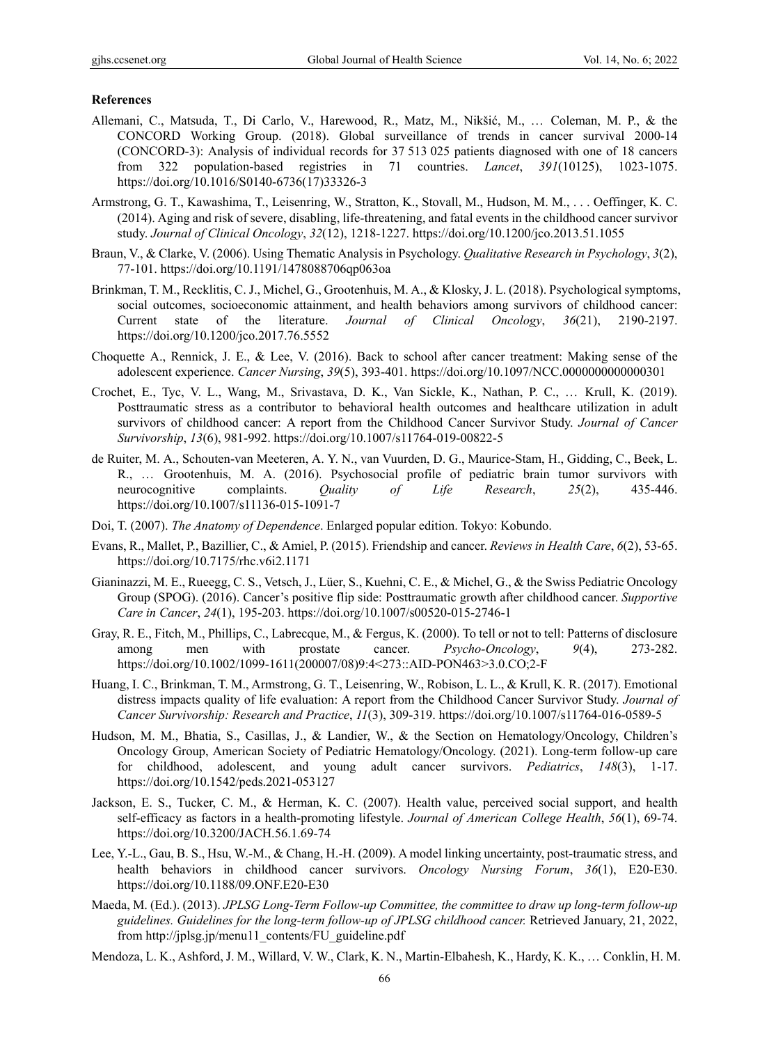#### **References**

- Allemani, C., Matsuda, T., Di Carlo, V., Harewood, R., Matz, M., Nikšić, M., … Coleman, M. P., & the CONCORD Working Group. (2018). Global surveillance of trends in cancer survival 2000-14 (CONCORD-3): Analysis of individual records for 37 513 025 patients diagnosed with one of 18 cancers from 322 population-based registries in 71 countries. *Lancet*, *391*(10125), 1023-1075. https://doi.org/10.1016/S0140-6736(17)33326-3
- Armstrong, G. T., Kawashima, T., Leisenring, W., Stratton, K., Stovall, M., Hudson, M. M., . . . Oeffinger, K. C. (2014). Aging and risk of severe, disabling, life-threatening, and fatal events in the childhood cancer survivor study. *Journal of Clinical Oncology*, *32*(12), 1218-1227. https://doi.org/10.1200/jco.2013.51.1055
- Braun, V., & Clarke, V. (2006). Using Thematic Analysis in Psychology. *Qualitative Research in Psychology*, *3*(2), 77-101. https://doi.org/10.1191/1478088706qp063oa
- Brinkman, T. M., Recklitis, C. J., Michel, G., Grootenhuis, M. A., & Klosky, J. L. (2018). Psychological symptoms, social outcomes, socioeconomic attainment, and health behaviors among survivors of childhood cancer: Current state of the literature. *Journal of Clinical Oncology*, *36*(21), 2190-2197. https://doi.org/10.1200/jco.2017.76.5552
- Choquette A., Rennick, J. E., & Lee, V. (2016). Back to school after cancer treatment: Making sense of the adolescent experience. *Cancer Nursing*, *39*(5), 393-401. https://doi.org/10.1097/NCC.0000000000000301
- Crochet, E., Tyc, V. L., Wang, M., Srivastava, D. K., Van Sickle, K., Nathan, P. C., … Krull, K. (2019). Posttraumatic stress as a contributor to behavioral health outcomes and healthcare utilization in adult survivors of childhood cancer: A report from the Childhood Cancer Survivor Study. *Journal of Cancer Survivorship*, *13*(6), 981-992. https://doi.org/10.1007/s11764-019-00822-5
- de Ruiter, M. A., Schouten-van Meeteren, A. Y. N., van Vuurden, D. G., Maurice-Stam, H., Gidding, C., Beek, L. R., … Grootenhuis, M. A. (2016). Psychosocial profile of pediatric brain tumor survivors with neurocognitive complaints. *Quality of Life Research*, *25*(2), 435-446. https://doi.org/10.1007/s11136-015-1091-7
- Doi, T. (2007). *The Anatomy of Dependence*. Enlarged popular edition. Tokyo: Kobundo.
- Evans, R., Mallet, P., Bazillier, C., & Amiel, P. (2015). Friendship and cancer. *Reviews in Health Care*, *6*(2), 53-65. https://doi.org/10.7175/rhc.v6i2.1171
- Gianinazzi, M. E., Rueegg, C. S., Vetsch, J., Lüer, S., Kuehni, C. E., & Michel, G., & the Swiss Pediatric Oncology Group (SPOG). (2016). Cancer's positive flip side: Posttraumatic growth after childhood cancer. *Supportive Care in Cancer*, *24*(1), 195-203. https://doi.org/10.1007/s00520-015-2746-1
- Gray, R. E., Fitch, M., Phillips, C., Labrecque, M., & Fergus, K. (2000). To tell or not to tell: Patterns of disclosure among men with prostate cancer. *Psycho-Oncology*, *9*(4), 273-282. https://doi.org/10.1002/1099-1611(200007/08)9:4<273::AID-PON463>3.0.CO;2-F
- Huang, I. C., Brinkman, T. M., Armstrong, G. T., Leisenring, W., Robison, L. L., & Krull, K. R. (2017). Emotional distress impacts quality of life evaluation: A report from the Childhood Cancer Survivor Study. *Journal of Cancer Survivorship: Research and Practice*, *11*(3), 309-319. https://doi.org/10.1007/s11764-016-0589-5
- Hudson, M. M., Bhatia, S., Casillas, J., & Landier, W., & the Section on Hematology/Oncology, Children's Oncology Group, American Society of Pediatric Hematology/Oncology. (2021). Long-term follow-up care for childhood, adolescent, and young adult cancer survivors. *Pediatrics*, *148*(3), 1-17. https://doi.org/10.1542/peds.2021-053127
- Jackson, E. S., Tucker, C. M., & Herman, K. C. (2007). Health value, perceived social support, and health self-efficacy as factors in a health-promoting lifestyle. *Journal of American College Health*, *56*(1), 69-74. https://doi.org/10.3200/JACH.56.1.69-74
- Lee, Y.-L., Gau, B. S., Hsu, W.-M., & Chang, H.-H. (2009). A model linking uncertainty, post-traumatic stress, and health behaviors in childhood cancer survivors. *Oncology Nursing Forum*, *36*(1), E20-E30. https://doi.org/10.1188/09.ONF.E20-E30
- Maeda, M. (Ed.). (2013). *JPLSG Long-Term Follow-up Committee, the committee to draw up long-term follow-up guidelines. Guidelines for the long-term follow-up of JPLSG childhood cancer.* Retrieved January, 21, 2022, from http://jplsg.jp/menu11\_contents/FU\_guideline.pdf
- Mendoza, L. K., Ashford, J. M., Willard, V. W., Clark, K. N., Martin-Elbahesh, K., Hardy, K. K., … Conklin, H. M.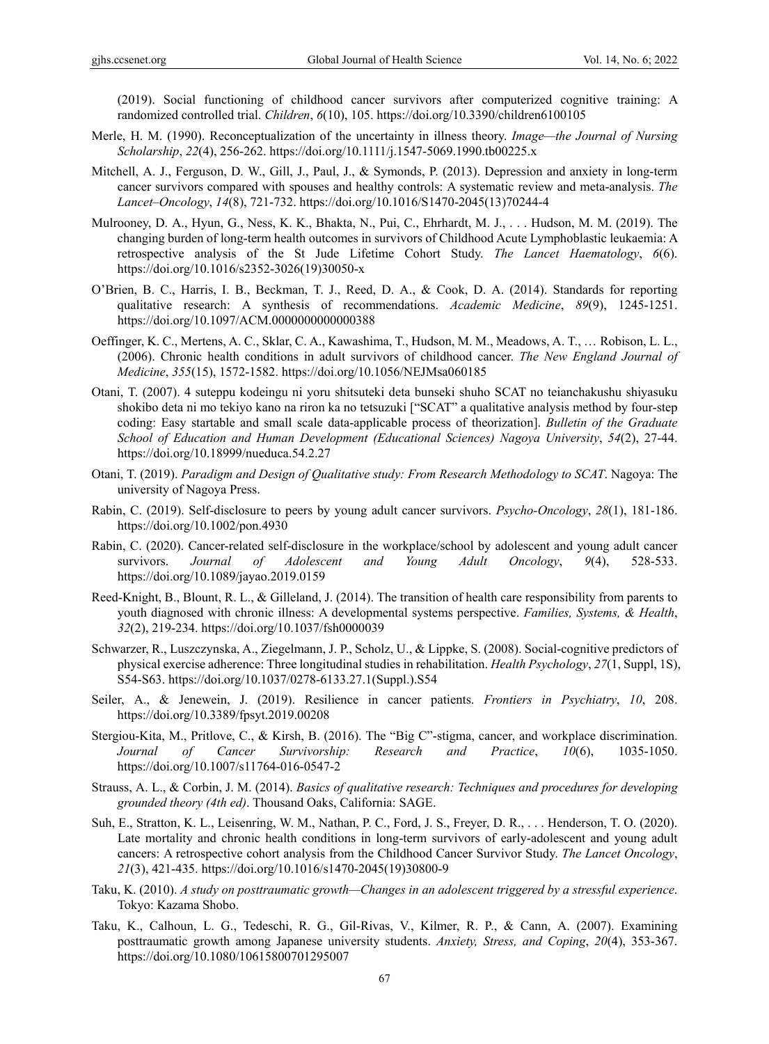(2019). Social functioning of childhood cancer survivors after computerized cognitive training: A randomized controlled trial. *Children*, *6*(10), 105. https://doi.org/10.3390/children6100105

- Merle, H. M. (1990). Reconceptualization of the uncertainty in illness theory. *Image—the Journal of Nursing Scholarship*, *22*(4), 256-262. https://doi.org/10.1111/j.1547-5069.1990.tb00225.x
- Mitchell, A. J., Ferguson, D. W., Gill, J., Paul, J., & Symonds, P. (2013). Depression and anxiety in long-term cancer survivors compared with spouses and healthy controls: A systematic review and meta-analysis. *The Lancet–Oncology*, *14*(8), 721-732. https://doi.org/10.1016/S1470-2045(13)70244-4
- Mulrooney, D. A., Hyun, G., Ness, K. K., Bhakta, N., Pui, C., Ehrhardt, M. J., . . . Hudson, M. M. (2019). The changing burden of long-term health outcomes in survivors of Childhood Acute Lymphoblastic leukaemia: A retrospective analysis of the St Jude Lifetime Cohort Study. *The Lancet Haematology*, *6*(6). https://doi.org/10.1016/s2352-3026(19)30050-x
- O'Brien, B. C., Harris, I. B., Beckman, T. J., Reed, D. A., & Cook, D. A. (2014). Standards for reporting qualitative research: A synthesis of recommendations. *Academic Medicine*, *89*(9), 1245-1251. https://doi.org/10.1097/ACM.0000000000000388
- Oeffinger, K. C., Mertens, A. C., Sklar, C. A., Kawashima, T., Hudson, M. M., Meadows, A. T., … Robison, L. L., (2006). Chronic health conditions in adult survivors of childhood cancer. *The New England Journal of Medicine*, *355*(15), 1572-1582. https://doi.org/10.1056/NEJMsa060185
- Otani, T. (2007). 4 suteppu kodeingu ni yoru shitsuteki deta bunseki shuho SCAT no teianchakushu shiyasuku shokibo deta ni mo tekiyo kano na riron ka no tetsuzuki ["SCAT" a qualitative analysis method by four-step coding: Easy startable and small scale data-applicable process of theorization]. *Bulletin of the Graduate School of Education and Human Development (Educational Sciences) Nagoya University*, *54*(2), 27-44. https://doi.org/10.18999/nueduca.54.2.27
- Otani, T. (2019). *Paradigm and Design of Qualitative study: From Research Methodology to SCAT*. Nagoya: The university of Nagoya Press.
- Rabin, C. (2019). Self-disclosure to peers by young adult cancer survivors. *Psycho-Oncology*, *28*(1), 181-186. https://doi.org/10.1002/pon.4930
- Rabin, C. (2020). Cancer-related self-disclosure in the workplace/school by adolescent and young adult cancer survivors. *Journal of Adolescent and Young Adult Oncology*, *9*(4), 528-533. https://doi.org/10.1089/jayao.2019.0159
- Reed-Knight, B., Blount, R. L., & Gilleland, J. (2014). The transition of health care responsibility from parents to youth diagnosed with chronic illness: A developmental systems perspective. *Families, Systems, & Health*, *32*(2), 219-234. https://doi.org/10.1037/fsh0000039
- Schwarzer, R., Luszczynska, A., Ziegelmann, J. P., Scholz, U., & Lippke, S. (2008). Social-cognitive predictors of physical exercise adherence: Three longitudinal studies in rehabilitation. *Health Psychology*, *27*(1, Suppl, 1S), S54-S63. https://doi.org/10.1037/0278-6133.27.1(Suppl.).S54
- Seiler, A., & Jenewein, J. (2019). Resilience in cancer patients. *Frontiers in Psychiatry*, *10*, 208. https://doi.org/10.3389/fpsyt.2019.00208
- Stergiou-Kita, M., Pritlove, C., & Kirsh, B. (2016). The "Big C"-stigma, cancer, and workplace discrimination. *Journal of Cancer Survivorship: Research and Practice*, *10*(6), 1035-1050. https://doi.org/10.1007/s11764-016-0547-2
- Strauss, A. L., & Corbin, J. M. (2014). *Basics of qualitative research: Techniques and procedures for developing grounded theory (4th ed)*. Thousand Oaks, California: SAGE.
- Suh, E., Stratton, K. L., Leisenring, W. M., Nathan, P. C., Ford, J. S., Freyer, D. R., . . . Henderson, T. O. (2020). Late mortality and chronic health conditions in long-term survivors of early-adolescent and young adult cancers: A retrospective cohort analysis from the Childhood Cancer Survivor Study. *The Lancet Oncology*, *21*(3), 421-435. https://doi.org/10.1016/s1470-2045(19)30800-9
- Taku, K. (2010). *A study on posttraumatic growth—Changes in an adolescent triggered by a stressful experience*. Tokyo: Kazama Shobo.
- Taku, K., Calhoun, L. G., Tedeschi, R. G., Gil-Rivas, V., Kilmer, R. P., & Cann, A. (2007). Examining posttraumatic growth among Japanese university students. *Anxiety, Stress, and Coping*, *20*(4), 353-367. https://doi.org/10.1080/10615800701295007